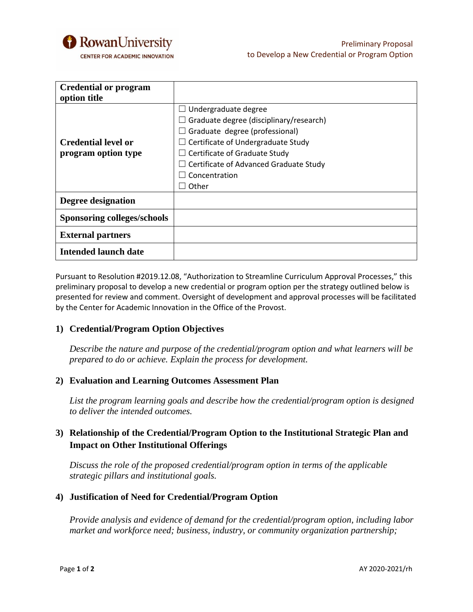

| <b>Credential or program</b> |                                                |
|------------------------------|------------------------------------------------|
| option title                 |                                                |
|                              | $\Box$ Undergraduate degree                    |
|                              | $\Box$ Graduate degree (disciplinary/research) |
|                              | $\Box$ Graduate degree (professional)          |
| <b>Credential level or</b>   | $\Box$ Certificate of Undergraduate Study      |
| program option type          | $\Box$ Certificate of Graduate Study           |
|                              | $\Box$ Certificate of Advanced Graduate Study  |
|                              | Concentration                                  |
|                              | Other                                          |
| Degree designation           |                                                |
| Sponsoring colleges/schools  |                                                |
| <b>External partners</b>     |                                                |
| <b>Intended launch date</b>  |                                                |

Pursuant to Resolution #2019.12.08, "Authorization to Streamline Curriculum Approval Processes," this preliminary proposal to develop a new credential or program option per the strategy outlined below is presented for review and comment. Oversight of development and approval processes will be facilitated by the Center for Academic Innovation in the Office of the Provost.

#### **1) Credential/Program Option Objectives**

*Describe the nature and purpose of the credential/program option and what learners will be prepared to do or achieve. Explain the process for development.*

#### **2) Evaluation and Learning Outcomes Assessment Plan**

*List the program learning goals and describe how the credential/program option is designed to deliver the intended outcomes.*

# **3) Relationship of the Credential/Program Option to the Institutional Strategic Plan and Impact on Other Institutional Offerings**

*Discuss the role of the proposed credential/program option in terms of the applicable strategic pillars and institutional goals.*

#### **4) Justification of Need for Credential/Program Option**

*Provide analysis and evidence of demand for the credential/program option, including labor market and workforce need; business, industry, or community organization partnership;*